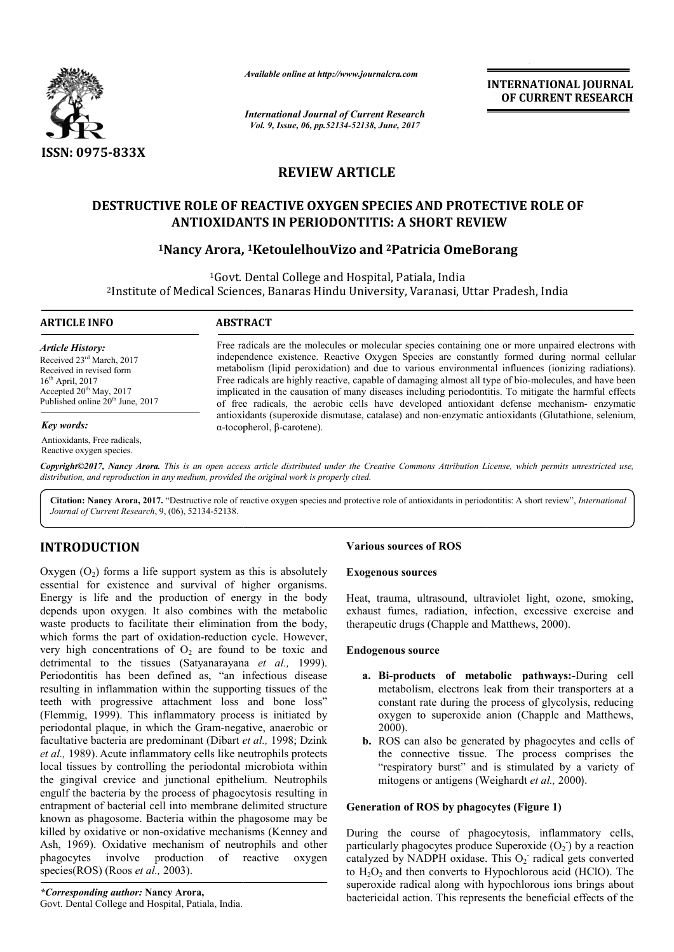

*Available online at http://www.journalcra.com*

# **REVIEW ARTICLE**

# **DESTRUCTIVE ROLE OF REACTIVE OXYGEN SPECIES AND PROTECTIVE ROLE OF ANTIOXIDANTS IN PERIODONTITIS: A SHORT REVIEW DESTRUCTIVE ROLE A SHORT**

# <sup>1</sup>Nancy Arora, <sup>1</sup>KetoulelhouVizo and <sup>2</sup>Patricia OmeBorang

|                                                                                                                                                                                                                                                                                                                                                                                                                                                                                                                                                                                                                                                                                                                                                                                                                                                           | лтииште опине иг пир.//www.journaicra.com<br><b>International Journal of Current Research</b>                                                                                                                                                                                                                                                                                                                                                                                                                                                                                                                                                                                                                                                                                    | <b>INTERNATIONAL JOURNAL</b><br>OF CURRENT RESEARCH                                                                                                                                                                                                                                                                                                                                                                                                                                                                           |
|-----------------------------------------------------------------------------------------------------------------------------------------------------------------------------------------------------------------------------------------------------------------------------------------------------------------------------------------------------------------------------------------------------------------------------------------------------------------------------------------------------------------------------------------------------------------------------------------------------------------------------------------------------------------------------------------------------------------------------------------------------------------------------------------------------------------------------------------------------------|----------------------------------------------------------------------------------------------------------------------------------------------------------------------------------------------------------------------------------------------------------------------------------------------------------------------------------------------------------------------------------------------------------------------------------------------------------------------------------------------------------------------------------------------------------------------------------------------------------------------------------------------------------------------------------------------------------------------------------------------------------------------------------|-------------------------------------------------------------------------------------------------------------------------------------------------------------------------------------------------------------------------------------------------------------------------------------------------------------------------------------------------------------------------------------------------------------------------------------------------------------------------------------------------------------------------------|
|                                                                                                                                                                                                                                                                                                                                                                                                                                                                                                                                                                                                                                                                                                                                                                                                                                                           | Vol. 9, Issue, 06, pp.52134-52138, June, 2017                                                                                                                                                                                                                                                                                                                                                                                                                                                                                                                                                                                                                                                                                                                                    |                                                                                                                                                                                                                                                                                                                                                                                                                                                                                                                               |
| ISSN: 0975-833X                                                                                                                                                                                                                                                                                                                                                                                                                                                                                                                                                                                                                                                                                                                                                                                                                                           |                                                                                                                                                                                                                                                                                                                                                                                                                                                                                                                                                                                                                                                                                                                                                                                  |                                                                                                                                                                                                                                                                                                                                                                                                                                                                                                                               |
|                                                                                                                                                                                                                                                                                                                                                                                                                                                                                                                                                                                                                                                                                                                                                                                                                                                           | <b>REVIEW ARTICLE</b>                                                                                                                                                                                                                                                                                                                                                                                                                                                                                                                                                                                                                                                                                                                                                            |                                                                                                                                                                                                                                                                                                                                                                                                                                                                                                                               |
|                                                                                                                                                                                                                                                                                                                                                                                                                                                                                                                                                                                                                                                                                                                                                                                                                                                           |                                                                                                                                                                                                                                                                                                                                                                                                                                                                                                                                                                                                                                                                                                                                                                                  | <b>DESTRUCTIVE ROLE OF REACTIVE OXYGEN SPECIES AND PROTECTIVE ROLE OF</b><br><b>ANTIOXIDANTS IN PERIODONTITIS: A SHORT REVIEW</b>                                                                                                                                                                                                                                                                                                                                                                                             |
|                                                                                                                                                                                                                                                                                                                                                                                                                                                                                                                                                                                                                                                                                                                                                                                                                                                           |                                                                                                                                                                                                                                                                                                                                                                                                                                                                                                                                                                                                                                                                                                                                                                                  | <sup>1</sup> Nancy Arora, <sup>1</sup> KetoulelhouVizo and <sup>2</sup> Patricia OmeBorang                                                                                                                                                                                                                                                                                                                                                                                                                                    |
|                                                                                                                                                                                                                                                                                                                                                                                                                                                                                                                                                                                                                                                                                                                                                                                                                                                           |                                                                                                                                                                                                                                                                                                                                                                                                                                                                                                                                                                                                                                                                                                                                                                                  | <sup>1</sup> Govt. Dental College and Hospital, Patiala, India<br><sup>2</sup> Institute of Medical Sciences, Banaras Hindu University, Varanasi, Uttar Pradesh, India                                                                                                                                                                                                                                                                                                                                                        |
| <b>ARTICLE INFO</b>                                                                                                                                                                                                                                                                                                                                                                                                                                                                                                                                                                                                                                                                                                                                                                                                                                       | <b>ABSTRACT</b>                                                                                                                                                                                                                                                                                                                                                                                                                                                                                                                                                                                                                                                                                                                                                                  |                                                                                                                                                                                                                                                                                                                                                                                                                                                                                                                               |
| <b>Article History:</b><br>Received 23rd March, 2017<br>Received in revised form<br>16 <sup>th</sup> April, 2017<br>Accepted 20 <sup>th</sup> May, 2017<br>Published online 20 <sup>th</sup> June, 2017                                                                                                                                                                                                                                                                                                                                                                                                                                                                                                                                                                                                                                                   | Free radicals are the molecules or molecular species containing one or more unpaired electrons with<br>independence existence. Reactive Oxygen Species are constantly formed during normal cellular<br>metabolism (lipid peroxidation) and due to various environmental influences (ionizing radiations).<br>Free radicals are highly reactive, capable of damaging almost all type of bio-molecules, and have been<br>implicated in the causation of many diseases including periodontitis. To mitigate the harmful effects<br>of free radicals, the aerobic cells have developed antioxidant defense mechanism- enzymatic<br>antioxidants (superoxide dismutase, catalase) and non-enzymatic antioxidants (Glutathione, selenium,<br>$\alpha$ -tocopherol, $\beta$ -carotene). |                                                                                                                                                                                                                                                                                                                                                                                                                                                                                                                               |
| Key words:<br>Antioxidants, Free radicals,<br>Reactive oxygen species.                                                                                                                                                                                                                                                                                                                                                                                                                                                                                                                                                                                                                                                                                                                                                                                    |                                                                                                                                                                                                                                                                                                                                                                                                                                                                                                                                                                                                                                                                                                                                                                                  |                                                                                                                                                                                                                                                                                                                                                                                                                                                                                                                               |
| distribution, and reproduction in any medium, provided the original work is properly cited.                                                                                                                                                                                                                                                                                                                                                                                                                                                                                                                                                                                                                                                                                                                                                               |                                                                                                                                                                                                                                                                                                                                                                                                                                                                                                                                                                                                                                                                                                                                                                                  | Copyright©2017, Nancy Arora. This is an open access article distributed under the Creative Commons Attribution License, which permits unrestricted use,                                                                                                                                                                                                                                                                                                                                                                       |
| Journal of Current Research, 9, (06), 52134-52138.                                                                                                                                                                                                                                                                                                                                                                                                                                                                                                                                                                                                                                                                                                                                                                                                        |                                                                                                                                                                                                                                                                                                                                                                                                                                                                                                                                                                                                                                                                                                                                                                                  | Citation: Nancy Arora, 2017. "Destructive role of reactive oxygen species and protective role of antioxidants in periodontitis: A short review", International                                                                                                                                                                                                                                                                                                                                                                |
| <b>INTRODUCTION</b>                                                                                                                                                                                                                                                                                                                                                                                                                                                                                                                                                                                                                                                                                                                                                                                                                                       |                                                                                                                                                                                                                                                                                                                                                                                                                                                                                                                                                                                                                                                                                                                                                                                  | <b>Various sources of ROS</b>                                                                                                                                                                                                                                                                                                                                                                                                                                                                                                 |
| Oxygen $(O_2)$ forms a life support system as this is absolutely                                                                                                                                                                                                                                                                                                                                                                                                                                                                                                                                                                                                                                                                                                                                                                                          |                                                                                                                                                                                                                                                                                                                                                                                                                                                                                                                                                                                                                                                                                                                                                                                  | <b>Exogenous sources</b>                                                                                                                                                                                                                                                                                                                                                                                                                                                                                                      |
| essential for existence and survival of higher organisms.<br>Energy is life and the production of energy in the body<br>depends upon oxygen. It also combines with the metabolic<br>waste products to facilitate their elimination from the body,<br>which forms the part of oxidation-reduction cycle. However,<br>very high concentrations of $O_2$ are found to be toxic and                                                                                                                                                                                                                                                                                                                                                                                                                                                                           |                                                                                                                                                                                                                                                                                                                                                                                                                                                                                                                                                                                                                                                                                                                                                                                  | Heat, trauma, ultrasound, ultraviolet light, ozone, smoking,<br>exhaust fumes, radiation, infection, excessive exercise and<br>therapeutic drugs (Chapple and Matthews, 2000).<br><b>Endogenous source</b>                                                                                                                                                                                                                                                                                                                    |
| detrimental to the tissues (Satyanarayana et al., 1999).<br>Periodontitis has been defined as, "an infectious disease<br>resulting in inflammation within the supporting tissues of the<br>teeth with progressive attachment loss and bone loss"<br>(Flemmig, 1999). This inflammatory process is initiated by<br>periodontal plaque, in which the Gram-negative, anaerobic or<br>facultative bacteria are predominant (Dibart et al., 1998; Dzink<br>et al., 1989). Acute inflammatory cells like neutrophils protects<br>local tissues by controlling the periodontal microbiota within<br>the gingival crevice and junctional epithelium. Neutrophils<br>engulf the bacteria by the process of phagocytosis resulting in<br>entrapment of bacterial cell into membrane delimited structure<br>known as phagosome. Bacteria within the phagosome may be |                                                                                                                                                                                                                                                                                                                                                                                                                                                                                                                                                                                                                                                                                                                                                                                  | a. Bi-products of metabolic pathways:-During cell<br>metabolism, electrons leak from their transporters at a<br>constant rate during the process of glycolysis, reducing<br>oxygen to superoxide anion (Chapple and Matthews,<br>2000).<br><b>b.</b> ROS can also be generated by phagocytes and cells of<br>the connective tissue. The process comprises the<br>"respiratory burst" and is stimulated by a variety of<br>mitogens or antigens (Weighardt et al., 2000).<br><b>Generation of ROS by phagocytes (Figure 1)</b> |
| killed by oxidative or non-oxidative mechanisms (Kenney and<br>Ash, 1969). Oxidative mechanism of neutrophils and other<br>production<br>involve<br>of<br>reactive<br>phagocytes<br>oxygen<br>species(ROS) (Roos <i>et al.</i> , 2003).<br><i>*Corresponding author:</i> Nancy Arora,<br>ntol Collage and Hospital Deticle                                                                                                                                                                                                                                                                                                                                                                                                                                                                                                                                |                                                                                                                                                                                                                                                                                                                                                                                                                                                                                                                                                                                                                                                                                                                                                                                  | During the course of phagocytosis, inflammatory cells,<br>particularly phagocytes produce Superoxide $(O_2)$ by a reaction<br>catalyzed by NADPH oxidase. This O <sub>2</sub> radical gets converted<br>to $H_2O_2$ and then converts to Hypochlorous acid (HClO). The<br>superoxide radical along with hypochlorous ions brings about<br>bactericidal action. This represents the beneficial effects of the                                                                                                                  |

# **INTRODUCTION**

## **Various sources of ROS**

#### **Exogenous sources**

## **Endogenous source**

- a. Bi-products of metabolic pathways:-During cell metabolism, electrons leak from their transporters at a constant rate during the process of glycolysis, reducing oxygen to superoxide anion (Chapple and Matthews, 2000).
- **b.** ROS can also be generated by phagocytes and cells of ROS can also be generated by phagocytes and cells of the connective tissue. The process comprises the "respiratory burst" and is stimulated by a variety of mitogens or antigens (Weighardt *et al.,* 2000).

## **Generation of ROS by phagocytes (Figure 1)**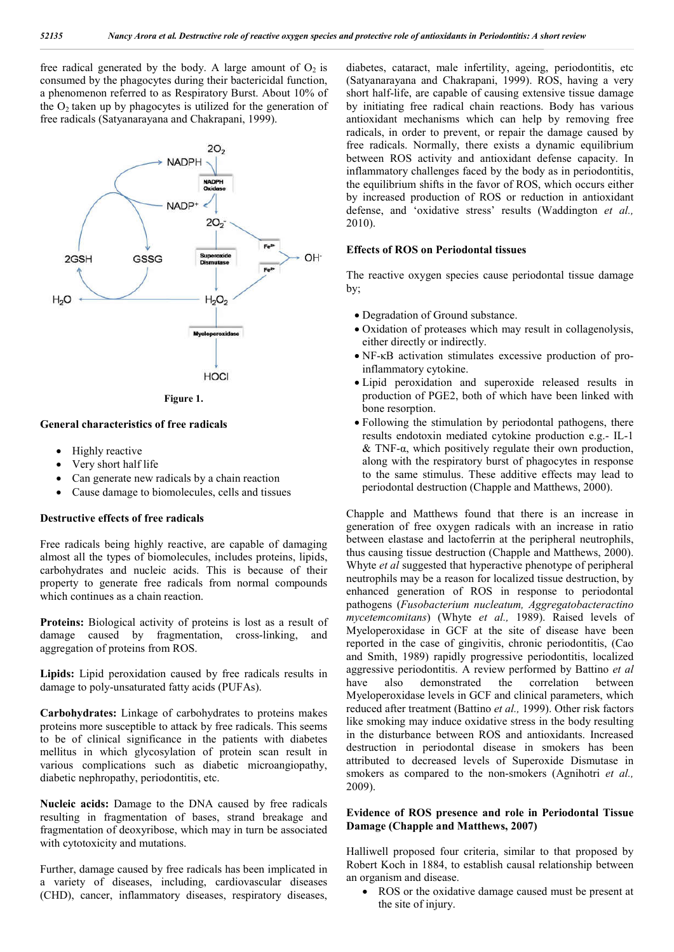free radical generated by the body. A large amount of  $O_2$  is consumed by the phagocytes during their bactericidal function, a phenomenon referred to as Respiratory Burst. About 10% of the  $O<sub>2</sub>$  taken up by phagocytes is utilized for the generation of free radicals (Satyanarayana and Chakrapani, 1999).



**Figure 1.**

#### **General characteristics of free radicals**

- Highly reactive
- Very short half life
- Can generate new radicals by a chain reaction
- Cause damage to biomolecules, cells and tissues

### **Destructive effects of free radicals**

Free radicals being highly reactive, are capable of damaging almost all the types of biomolecules, includes proteins, lipids, carbohydrates and nucleic acids. This is because of their property to generate free radicals from normal compounds which continues as a chain reaction.

**Proteins:** Biological activity of proteins is lost as a result of damage caused by fragmentation, cross-linking, and aggregation of proteins from ROS.

**Lipids:** Lipid peroxidation caused by free radicals results in damage to poly-unsaturated fatty acids (PUFAs).

**Carbohydrates:** Linkage of carbohydrates to proteins makes proteins more susceptible to attack by free radicals. This seems to be of clinical significance in the patients with diabetes mellitus in which glycosylation of protein scan result in various complications such as diabetic microangiopathy, diabetic nephropathy, periodontitis, etc.

**Nucleic acids:** Damage to the DNA caused by free radicals resulting in fragmentation of bases, strand breakage and fragmentation of deoxyribose, which may in turn be associated with cytotoxicity and mutations.

Further, damage caused by free radicals has been implicated in a variety of diseases, including, cardiovascular diseases (CHD), cancer, inflammatory diseases, respiratory diseases, diabetes, cataract, male infertility, ageing, periodontitis, etc (Satyanarayana and Chakrapani, 1999). ROS, having a very short half-life, are capable of causing extensive tissue damage by initiating free radical chain reactions. Body has various antioxidant mechanisms which can help by removing free radicals, in order to prevent, or repair the damage caused by free radicals. Normally, there exists a dynamic equilibrium between ROS activity and antioxidant defense capacity. In inflammatory challenges faced by the body as in periodontitis, the equilibrium shifts in the favor of ROS, which occurs either by increased production of ROS or reduction in antioxidant defense, and 'oxidative stress' results (Waddington *et al.,*  2010).

#### **Effects of ROS on Periodontal tissues**

The reactive oxygen species cause periodontal tissue damage by;

- Degradation of Ground substance.
- Oxidation of proteases which may result in collagenolysis, either directly or indirectly.
- NF-κB activation stimulates excessive production of proinflammatory cytokine.
- Lipid peroxidation and superoxide released results in production of PGE2, both of which have been linked with bone resorption.
- Following the stimulation by periodontal pathogens, there results endotoxin mediated cytokine production e.g.- IL-1  $&$  TNF- $\alpha$ , which positively regulate their own production, along with the respiratory burst of phagocytes in response to the same stimulus. These additive effects may lead to periodontal destruction (Chapple and Matthews, 2000).

Chapple and Matthews found that there is an increase in generation of free oxygen radicals with an increase in ratio between elastase and lactoferrin at the peripheral neutrophils, thus causing tissue destruction (Chapple and Matthews, 2000). Whyte *et al* suggested that hyperactive phenotype of peripheral neutrophils may be a reason for localized tissue destruction, by enhanced generation of ROS in response to periodontal pathogens (*Fusobacterium nucleatum, Aggregatobacteractino mycetemcomitans*) (Whyte *et al.,* 1989). Raised levels of Myeloperoxidase in GCF at the site of disease have been reported in the case of gingivitis, chronic periodontitis, (Cao and Smith, 1989) rapidly progressive periodontitis, localized aggressive periodontitis. A review performed by Battino *et al* have also demonstrated the correlation between Myeloperoxidase levels in GCF and clinical parameters, which reduced after treatment (Battino *et al.,* 1999). Other risk factors like smoking may induce oxidative stress in the body resulting in the disturbance between ROS and antioxidants. Increased destruction in periodontal disease in smokers has been attributed to decreased levels of Superoxide Dismutase in smokers as compared to the non-smokers (Agnihotri *et al.,*  2009).

## **Evidence of ROS presence and role in Periodontal Tissue Damage (Chapple and Matthews, 2007)**

Halliwell proposed four criteria, similar to that proposed by Robert Koch in 1884, to establish causal relationship between an organism and disease.

 ROS or the oxidative damage caused must be present at the site of injury.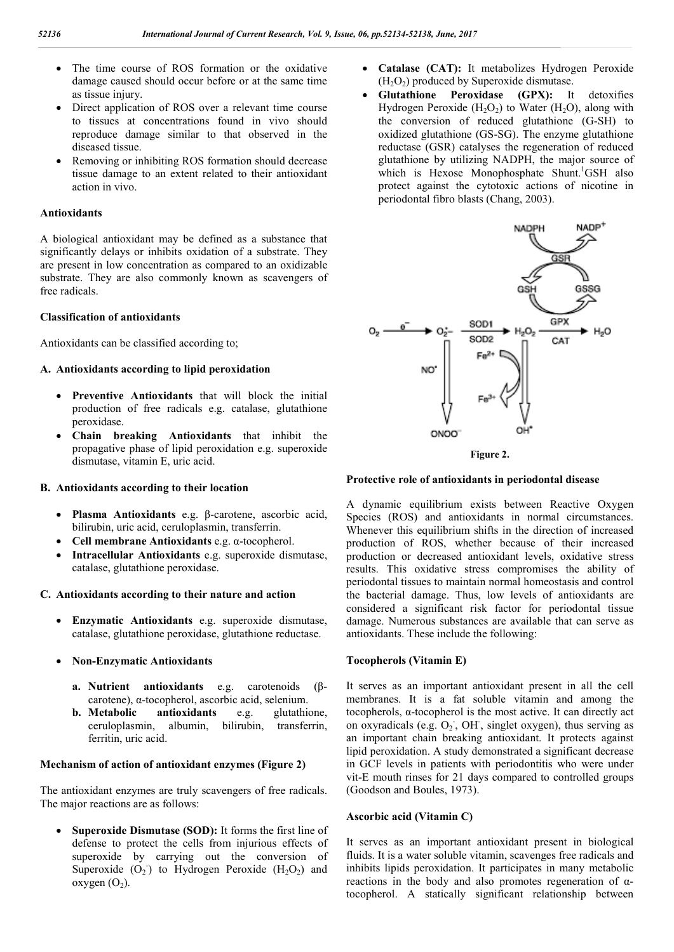- The time course of ROS formation or the oxidative damage caused should occur before or at the same time as tissue injury.
- Direct application of ROS over a relevant time course to tissues at concentrations found in vivo should reproduce damage similar to that observed in the diseased tissue.
- Removing or inhibiting ROS formation should decrease tissue damage to an extent related to their antioxidant action in vivo.

## **Antioxidants**

A biological antioxidant may be defined as a substance that significantly delays or inhibits oxidation of a substrate. They are present in low concentration as compared to an oxidizable substrate. They are also commonly known as scavengers of free radicals.

## **Classification of antioxidants**

Antioxidants can be classified according to;

## **A. Antioxidants according to lipid peroxidation**

- **Preventive Antioxidants** that will block the initial production of free radicals e.g. catalase, glutathione peroxidase.
- **Chain breaking Antioxidants** that inhibit the propagative phase of lipid peroxidation e.g. superoxide dismutase, vitamin E, uric acid.

## **B. Antioxidants according to their location**

- **Plasma Antioxidants** e.g. β-carotene, ascorbic acid, bilirubin, uric acid, ceruloplasmin, transferrin.
- **Cell membrane Antioxidants** e.g. α-tocopherol.
- **Intracellular Antioxidants** e.g. superoxide dismutase, catalase, glutathione peroxidase.

## **C. Antioxidants according to their nature and action**

- **Enzymatic Antioxidants** e.g. superoxide dismutase, catalase, glutathione peroxidase, glutathione reductase.
- **Non-Enzymatic Antioxidants**
	- **a. Nutrient antioxidants** e.g. carotenoids (βcarotene), α-tocopherol, ascorbic acid, selenium.
	- **b. Metabolic antioxidants** e.g. glutathione, ceruloplasmin, albumin, bilirubin, transferrin, ferritin, uric acid.

## **Mechanism of action of antioxidant enzymes (Figure 2)**

The antioxidant enzymes are truly scavengers of free radicals. The major reactions are as follows:

 **Superoxide Dismutase (SOD):** It forms the first line of defense to protect the cells from injurious effects of superoxide by carrying out the conversion of Superoxide  $(O_2)$  to Hydrogen Peroxide  $(H_2O_2)$  and  $oxygen (O<sub>2</sub>).$ 

- **Catalase (CAT):** It metabolizes Hydrogen Peroxide  $(H<sub>2</sub>O<sub>2</sub>)$  produced by Superoxide dismutase.
- **Glutathione Peroxidase (GPX):** It detoxifies Hydrogen Peroxide  $(H<sub>2</sub>O<sub>2</sub>)$  to Water  $(H<sub>2</sub>O)$ , along with the conversion of reduced glutathione (G-SH) to oxidized glutathione (GS-SG). The enzyme glutathione reductase (GSR) catalyses the regeneration of reduced glutathione by utilizing NADPH, the major source of which is Hexose Monophosphate Shunt.<sup>1</sup>GSH also protect against the cytotoxic actions of nicotine in periodontal fibro blasts (Chang, 2003).



# **Protective role of antioxidants in periodontal disease**

A dynamic equilibrium exists between Reactive Oxygen Species (ROS) and antioxidants in normal circumstances. Whenever this equilibrium shifts in the direction of increased production of ROS, whether because of their increased production or decreased antioxidant levels, oxidative stress results. This oxidative stress compromises the ability of periodontal tissues to maintain normal homeostasis and control the bacterial damage. Thus, low levels of antioxidants are considered a significant risk factor for periodontal tissue damage. Numerous substances are available that can serve as antioxidants. These include the following:

## **Tocopherols (Vitamin E)**

It serves as an important antioxidant present in all the cell membranes. It is a fat soluble vitamin and among the tocopherols, α-tocopherol is the most active. It can directly act on oxyradicals (e.g. O<sub>2</sub>, OH, singlet oxygen), thus serving as an important chain breaking antioxidant. It protects against lipid peroxidation. A study demonstrated a significant decrease in GCF levels in patients with periodontitis who were under vit-E mouth rinses for 21 days compared to controlled groups (Goodson and Boules, 1973).

## **Ascorbic acid (Vitamin C)**

It serves as an important antioxidant present in biological fluids. It is a water soluble vitamin, scavenges free radicals and inhibits lipids peroxidation. It participates in many metabolic reactions in the body and also promotes regeneration of  $\alpha$ tocopherol. A statically significant relationship between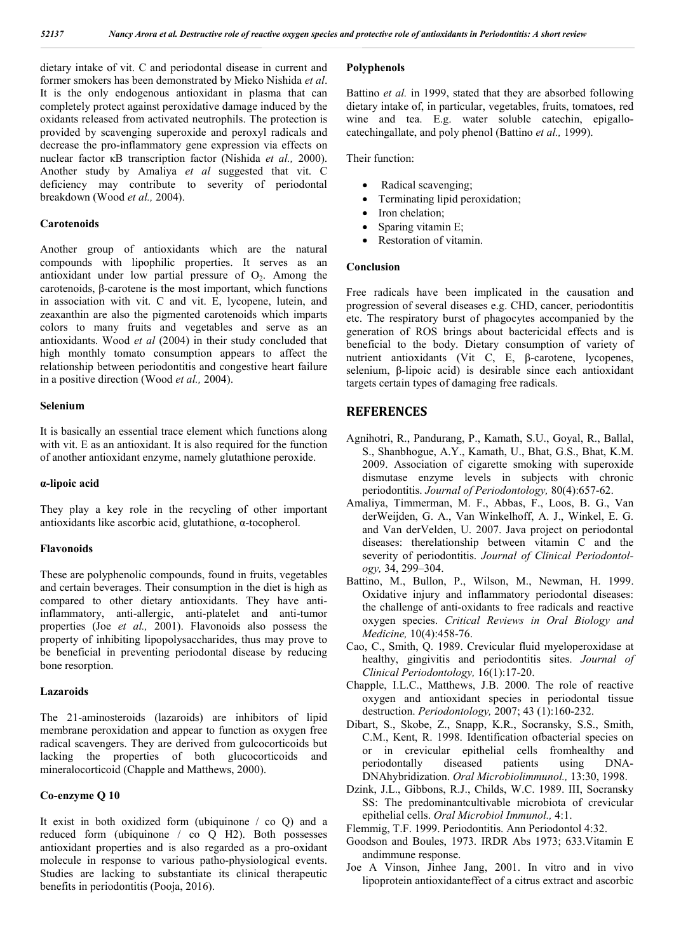dietary intake of vit. C and periodontal disease in current and former smokers has been demonstrated by Mieko Nishida *et al*. It is the only endogenous antioxidant in plasma that can completely protect against peroxidative damage induced by the oxidants released from activated neutrophils. The protection is provided by scavenging superoxide and peroxyl radicals and decrease the pro-inflammatory gene expression via effects on nuclear factor κB transcription factor (Nishida *et al.,* 2000). Another study by Amaliya *et al* suggested that vit. C deficiency may contribute to severity of periodontal breakdown (Wood *et al.,* 2004).

#### **Carotenoids**

Another group of antioxidants which are the natural compounds with lipophilic properties. It serves as an antioxidant under low partial pressure of  $O<sub>2</sub>$ . Among the carotenoids, β-carotene is the most important, which functions in association with vit. C and vit. E, lycopene, lutein, and zeaxanthin are also the pigmented carotenoids which imparts colors to many fruits and vegetables and serve as an antioxidants. Wood *et al* (2004) in their study concluded that high monthly tomato consumption appears to affect the relationship between periodontitis and congestive heart failure in a positive direction (Wood *et al.,* 2004).

#### **Selenium**

It is basically an essential trace element which functions along with vit. E as an antioxidant. It is also required for the function of another antioxidant enzyme, namely glutathione peroxide.

#### **α-lipoic acid**

They play a key role in the recycling of other important antioxidants like ascorbic acid, glutathione, α-tocopherol.

### **Flavonoids**

These are polyphenolic compounds, found in fruits, vegetables and certain beverages. Their consumption in the diet is high as compared to other dietary antioxidants. They have antiinflammatory, anti-allergic, anti-platelet and anti-tumor properties (Joe *et al.,* 2001). Flavonoids also possess the property of inhibiting lipopolysaccharides, thus may prove to be beneficial in preventing periodontal disease by reducing bone resorption.

#### **Lazaroids**

The 21-aminosteroids (lazaroids) are inhibitors of lipid membrane peroxidation and appear to function as oxygen free radical scavengers. They are derived from gulcocorticoids but lacking the properties of both glucocorticoids and mineralocorticoid (Chapple and Matthews, 2000).

#### **Co-enzyme Q 10**

It exist in both oxidized form (ubiquinone / co Q) and a reduced form (ubiquinone / co Q H2). Both possesses antioxidant properties and is also regarded as a pro-oxidant molecule in response to various patho-physiological events. Studies are lacking to substantiate its clinical therapeutic benefits in periodontitis (Pooja, 2016).

#### **Polyphenols**

Battino *et al.* in 1999, stated that they are absorbed following dietary intake of, in particular, vegetables, fruits, tomatoes, red wine and tea. E.g. water soluble catechin, epigallocatechingallate, and poly phenol (Battino *et al.,* 1999).

Their function:

- Radical scavenging;
- Terminating lipid peroxidation;
- Iron chelation;
- Sparing vitamin E;
- Restoration of vitamin.

#### **Conclusion**

Free radicals have been implicated in the causation and progression of several diseases e.g. CHD, cancer, periodontitis etc. The respiratory burst of phagocytes accompanied by the generation of ROS brings about bactericidal effects and is beneficial to the body. Dietary consumption of variety of nutrient antioxidants (Vit C, E, β-carotene, lycopenes, selenium, β-lipoic acid) is desirable since each antioxidant targets certain types of damaging free radicals.

### **REFERENCES**

- Agnihotri, R., Pandurang, P., Kamath, S.U., Goyal, R., Ballal, S., Shanbhogue, A.Y., Kamath, U., Bhat, G.S., Bhat, K.M. 2009. Association of cigarette smoking with superoxide dismutase enzyme levels in subjects with chronic periodontitis. *Journal of Periodontology,* 80(4):657-62.
- Amaliya, Timmerman, M. F., Abbas, F., Loos, B. G., Van derWeijden, G. A., Van Winkelhoff, A. J., Winkel, E. G. and Van derVelden, U. 2007. Java project on periodontal diseases: therelationship between vitamin C and the severity of periodontitis. *Journal of Clinical Periodontology,* 34, 299–304.
- Battino, M., Bullon, P., Wilson, M., Newman, H. 1999. Oxidative injury and inflammatory periodontal diseases: the challenge of anti-oxidants to free radicals and reactive oxygen species. *Critical Reviews in Oral Biology and Medicine,* 10(4):458-76.
- Cao, C., Smith, Q. 1989. Crevicular fluid myeloperoxidase at healthy, gingivitis and periodontitis sites. *Journal of Clinical Periodontology,* 16(1):17-20.
- Chapple, I.L.C., Matthews, J.B. 2000. The role of reactive oxygen and antioxidant species in periodontal tissue destruction. *Periodontology,* 2007; 43 (1):160-232.
- Dibart, S., Skobe, Z., Snapp, K.R., Socransky, S.S., Smith, C.M., Kent, R. 1998. Identification ofbacterial species on or in crevicular epithelial cells fromhealthy and periodontally diseased patients using DNA-DNAhybridization. *Oral Microbiolimmunol.,* 13:30, 1998.
- Dzink, J.L., Gibbons, R.J., Childs, W.C. 1989. III, Socransky SS: The predominantcultivable microbiota of crevicular epithelial cells. *Oral Microbiol Immunol.,* 4:1.
- Flemmig, T.F. 1999. Periodontitis. Ann Periodontol 4:32.
- Goodson and Boules, 1973. IRDR Abs 1973; 633.Vitamin E andimmune response.
- Joe A Vinson, Jinhee Jang, 2001. In vitro and in vivo lipoprotein antioxidanteffect of a citrus extract and ascorbic